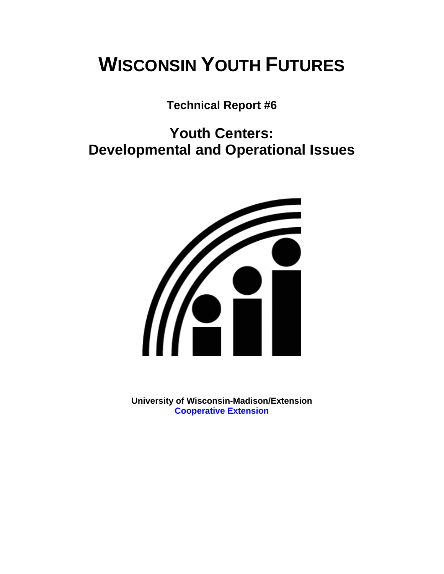# **WISCONSIN YOUTH FUTURES**

## **Technical Report #6**

## **Youth Centers: Developmental and Operational Issues**



**University of Wisconsin-Madison/Extension [Cooperative Extension](http://www1.uwex.edu/ces/index.cfm)**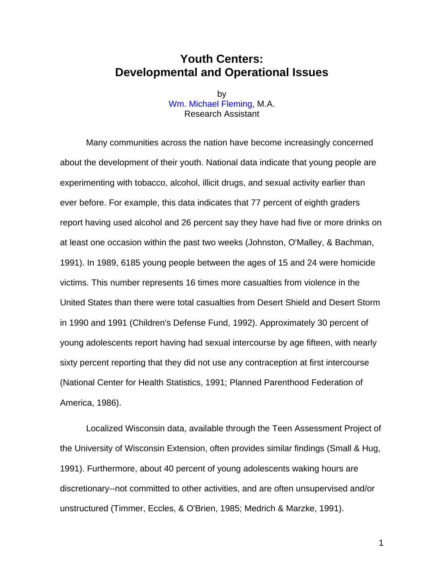## **Youth Centers: Developmental and Operational Issues**

by [Wm. Michael Fleming,](http://fp.uni.edu/dfcs/faculty.htm) M.A. Research Assistant

Many communities across the nation have become increasingly concerned about the development of their youth. National data indicate that young people are experimenting with tobacco, alcohol, illicit drugs, and sexual activity earlier than ever before. For example, this data indicates that 77 percent of eighth graders report having used alcohol and 26 percent say they have had five or more drinks on at least one occasion within the past two weeks (Johnston, O'Malley, & Bachman, 1991). In 1989, 6185 young people between the ages of 15 and 24 were homicide victims. This number represents 16 times more casualties from violence in the United States than there were total casualties from Desert Shield and Desert Storm in 1990 and 1991 (Children's Defense Fund, 1992). Approximately 30 percent of young adolescents report having had sexual intercourse by age fifteen, with nearly sixty percent reporting that they did not use any contraception at first intercourse (National Center for Health Statistics, 1991; Planned Parenthood Federation of America, 1986).

Localized Wisconsin data, available through the Teen Assessment Project of the University of Wisconsin Extension, often provides similar findings (Small & Hug, 1991). Furthermore, about 40 percent of young adolescents waking hours are discretionary--not committed to other activities, and are often unsupervised and/or unstructured (Timmer, Eccles, & O'Brien, 1985; Medrich & Marzke, 1991).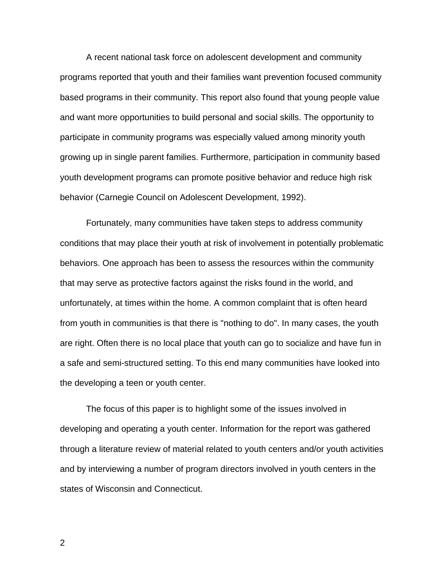A recent national task force on adolescent development and community programs reported that youth and their families want prevention focused community based programs in their community. This report also found that young people value and want more opportunities to build personal and social skills. The opportunity to participate in community programs was especially valued among minority youth growing up in single parent families. Furthermore, participation in community based youth development programs can promote positive behavior and reduce high risk behavior (Carnegie Council on Adolescent Development, 1992).

Fortunately, many communities have taken steps to address community conditions that may place their youth at risk of involvement in potentially problematic behaviors. One approach has been to assess the resources within the community that may serve as protective factors against the risks found in the world, and unfortunately, at times within the home. A common complaint that is often heard from youth in communities is that there is "nothing to do". In many cases, the youth are right. Often there is no local place that youth can go to socialize and have fun in a safe and semi-structured setting. To this end many communities have looked into the developing a teen or youth center.

The focus of this paper is to highlight some of the issues involved in developing and operating a youth center. Information for the report was gathered through a literature review of material related to youth centers and/or youth activities and by interviewing a number of program directors involved in youth centers in the states of Wisconsin and Connecticut.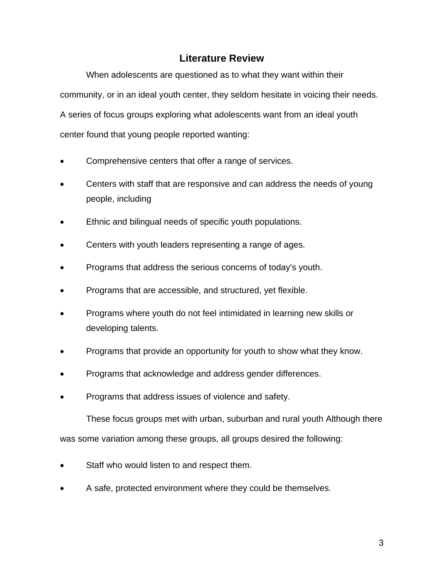## **Literature Review**

When adolescents are questioned as to what they want within their community, or in an ideal youth center, they seldom hesitate in voicing their needs. A series of focus groups exploring what adolescents want from an ideal youth center found that young people reported wanting:

- Comprehensive centers that offer a range of services.
- Centers with staff that are responsive and can address the needs of young people, including
- Ethnic and bilingual needs of specific youth populations.
- Centers with youth leaders representing a range of ages.
- Programs that address the serious concerns of today's youth.
- Programs that are accessible, and structured, yet flexible.
- Programs where youth do not feel intimidated in learning new skills or developing talents.
- Programs that provide an opportunity for youth to show what they know.
- Programs that acknowledge and address gender differences.
- Programs that address issues of violence and safety.

These focus groups met with urban, suburban and rural youth Although there was some variation among these groups, all groups desired the following:

- Staff who would listen to and respect them.
- A safe, protected environment where they could be themselves.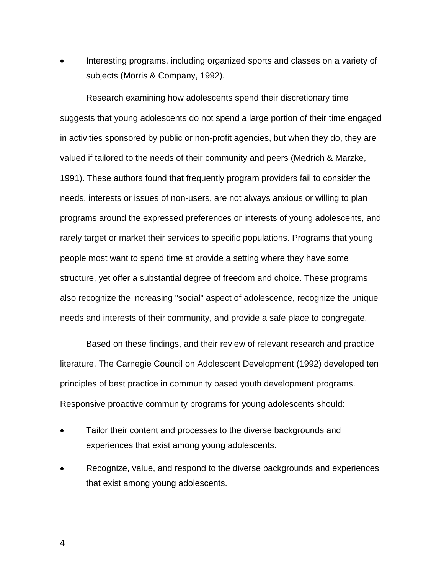• Interesting programs, including organized sports and classes on a variety of subjects (Morris & Company, 1992).

Research examining how adolescents spend their discretionary time suggests that young adolescents do not spend a large portion of their time engaged in activities sponsored by public or non-profit agencies, but when they do, they are valued if tailored to the needs of their community and peers (Medrich & Marzke, 1991). These authors found that frequently program providers fail to consider the needs, interests or issues of non-users, are not always anxious or willing to plan programs around the expressed preferences or interests of young adolescents, and rarely target or market their services to specific populations. Programs that young people most want to spend time at provide a setting where they have some structure, yet offer a substantial degree of freedom and choice. These programs also recognize the increasing "social" aspect of adolescence, recognize the unique needs and interests of their community, and provide a safe place to congregate.

Based on these findings, and their review of relevant research and practice literature, The Carnegie Council on Adolescent Development (1992) developed ten principles of best practice in community based youth development programs. Responsive proactive community programs for young adolescents should:

- Tailor their content and processes to the diverse backgrounds and experiences that exist among young adolescents.
- Recognize, value, and respond to the diverse backgrounds and experiences that exist among young adolescents.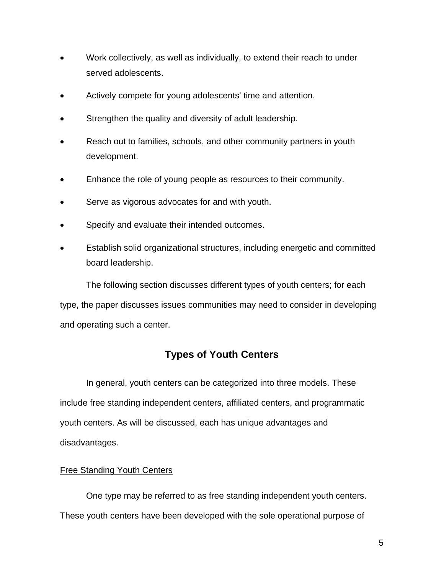- Work collectively, as well as individually, to extend their reach to under served adolescents.
- Actively compete for young adolescents' time and attention.
- Strengthen the quality and diversity of adult leadership.
- Reach out to families, schools, and other community partners in youth development.
- Enhance the role of young people as resources to their community.
- Serve as vigorous advocates for and with youth.
- Specify and evaluate their intended outcomes.
- Establish solid organizational structures, including energetic and committed board leadership.

The following section discusses different types of youth centers; for each

type, the paper discusses issues communities may need to consider in developing and operating such a center.

## **Types of Youth Centers**

In general, youth centers can be categorized into three models. These include free standing independent centers, affiliated centers, and programmatic youth centers. As will be discussed, each has unique advantages and disadvantages.

#### Free Standing Youth Centers

One type may be referred to as free standing independent youth centers. These youth centers have been developed with the sole operational purpose of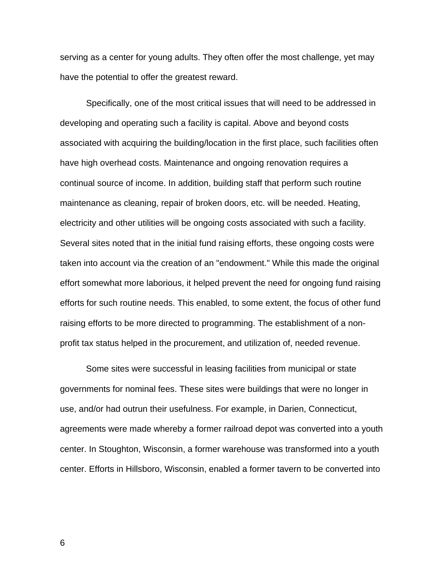serving as a center for young adults. They often offer the most challenge, yet may have the potential to offer the greatest reward.

Specifically, one of the most critical issues that will need to be addressed in developing and operating such a facility is capital. Above and beyond costs associated with acquiring the building/location in the first place, such facilities often have high overhead costs. Maintenance and ongoing renovation requires a continual source of income. In addition, building staff that perform such routine maintenance as cleaning, repair of broken doors, etc. will be needed. Heating, electricity and other utilities will be ongoing costs associated with such a facility. Several sites noted that in the initial fund raising efforts, these ongoing costs were taken into account via the creation of an "endowment." While this made the original effort somewhat more laborious, it helped prevent the need for ongoing fund raising efforts for such routine needs. This enabled, to some extent, the focus of other fund raising efforts to be more directed to programming. The establishment of a nonprofit tax status helped in the procurement, and utilization of, needed revenue.

Some sites were successful in leasing facilities from municipal or state governments for nominal fees. These sites were buildings that were no longer in use, and/or had outrun their usefulness. For example, in Darien, Connecticut, agreements were made whereby a former railroad depot was converted into a youth center. In Stoughton, Wisconsin, a former warehouse was transformed into a youth center. Efforts in Hillsboro, Wisconsin, enabled a former tavern to be converted into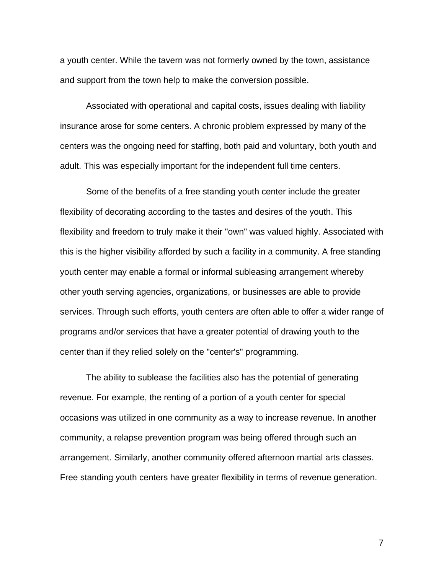a youth center. While the tavern was not formerly owned by the town, assistance and support from the town help to make the conversion possible.

Associated with operational and capital costs, issues dealing with liability insurance arose for some centers. A chronic problem expressed by many of the centers was the ongoing need for staffing, both paid and voluntary, both youth and adult. This was especially important for the independent full time centers.

Some of the benefits of a free standing youth center include the greater flexibility of decorating according to the tastes and desires of the youth. This flexibility and freedom to truly make it their "own" was valued highly. Associated with this is the higher visibility afforded by such a facility in a community. A free standing youth center may enable a formal or informal subleasing arrangement whereby other youth serving agencies, organizations, or businesses are able to provide services. Through such efforts, youth centers are often able to offer a wider range of programs and/or services that have a greater potential of drawing youth to the center than if they relied solely on the "center's" programming.

The ability to sublease the facilities also has the potential of generating revenue. For example, the renting of a portion of a youth center for special occasions was utilized in one community as a way to increase revenue. In another community, a relapse prevention program was being offered through such an arrangement. Similarly, another community offered afternoon martial arts classes. Free standing youth centers have greater flexibility in terms of revenue generation.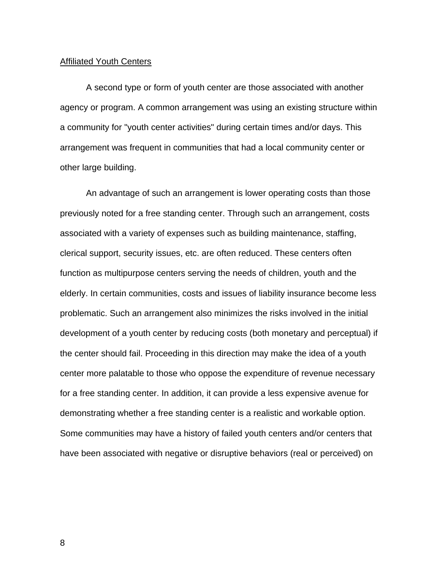#### Affiliated Youth Centers

A second type or form of youth center are those associated with another agency or program. A common arrangement was using an existing structure within a community for "youth center activities" during certain times and/or days. This arrangement was frequent in communities that had a local community center or other large building.

An advantage of such an arrangement is lower operating costs than those previously noted for a free standing center. Through such an arrangement, costs associated with a variety of expenses such as building maintenance, staffing, clerical support, security issues, etc. are often reduced. These centers often function as multipurpose centers serving the needs of children, youth and the elderly. In certain communities, costs and issues of liability insurance become less problematic. Such an arrangement also minimizes the risks involved in the initial development of a youth center by reducing costs (both monetary and perceptual) if the center should fail. Proceeding in this direction may make the idea of a youth center more palatable to those who oppose the expenditure of revenue necessary for a free standing center. In addition, it can provide a less expensive avenue for demonstrating whether a free standing center is a realistic and workable option. Some communities may have a history of failed youth centers and/or centers that have been associated with negative or disruptive behaviors (real or perceived) on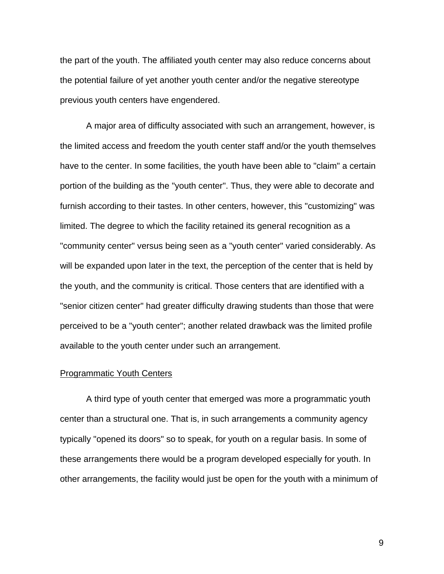the part of the youth. The affiliated youth center may also reduce concerns about the potential failure of yet another youth center and/or the negative stereotype previous youth centers have engendered.

A major area of difficulty associated with such an arrangement, however, is the limited access and freedom the youth center staff and/or the youth themselves have to the center. In some facilities, the youth have been able to "claim" a certain portion of the building as the "youth center". Thus, they were able to decorate and furnish according to their tastes. In other centers, however, this "customizing" was limited. The degree to which the facility retained its general recognition as a "community center" versus being seen as a "youth center" varied considerably. As will be expanded upon later in the text, the perception of the center that is held by the youth, and the community is critical. Those centers that are identified with a "senior citizen center" had greater difficulty drawing students than those that were perceived to be a "youth center"; another related drawback was the limited profile available to the youth center under such an arrangement.

#### Programmatic Youth Centers

A third type of youth center that emerged was more a programmatic youth center than a structural one. That is, in such arrangements a community agency typically "opened its doors" so to speak, for youth on a regular basis. In some of these arrangements there would be a program developed especially for youth. In other arrangements, the facility would just be open for the youth with a minimum of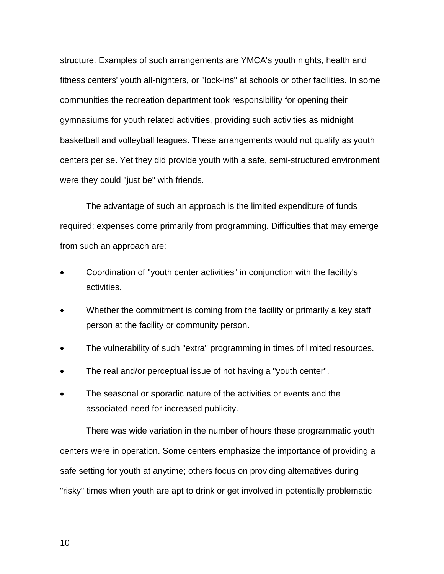structure. Examples of such arrangements are YMCA's youth nights, health and fitness centers' youth all-nighters, or "lock-ins" at schools or other facilities. In some communities the recreation department took responsibility for opening their gymnasiums for youth related activities, providing such activities as midnight basketball and volleyball leagues. These arrangements would not qualify as youth centers per se. Yet they did provide youth with a safe, semi-structured environment were they could "just be" with friends.

The advantage of such an approach is the limited expenditure of funds required; expenses come primarily from programming. Difficulties that may emerge from such an approach are:

- Coordination of "youth center activities" in conjunction with the facility's activities.
- Whether the commitment is coming from the facility or primarily a key staff person at the facility or community person.
- The vulnerability of such "extra" programming in times of limited resources.
- The real and/or perceptual issue of not having a "youth center".
- The seasonal or sporadic nature of the activities or events and the associated need for increased publicity.

There was wide variation in the number of hours these programmatic youth centers were in operation. Some centers emphasize the importance of providing a safe setting for youth at anytime; others focus on providing alternatives during "risky" times when youth are apt to drink or get involved in potentially problematic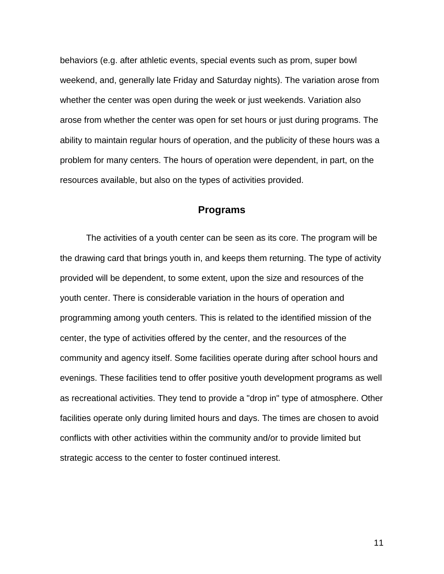behaviors (e.g. after athletic events, special events such as prom, super bowl weekend, and, generally late Friday and Saturday nights). The variation arose from whether the center was open during the week or just weekends. Variation also arose from whether the center was open for set hours or just during programs. The ability to maintain regular hours of operation, and the publicity of these hours was a problem for many centers. The hours of operation were dependent, in part, on the resources available, but also on the types of activities provided.

### **Programs**

The activities of a youth center can be seen as its core. The program will be the drawing card that brings youth in, and keeps them returning. The type of activity provided will be dependent, to some extent, upon the size and resources of the youth center. There is considerable variation in the hours of operation and programming among youth centers. This is related to the identified mission of the center, the type of activities offered by the center, and the resources of the community and agency itself. Some facilities operate during after school hours and evenings. These facilities tend to offer positive youth development programs as well as recreational activities. They tend to provide a "drop in" type of atmosphere. Other facilities operate only during limited hours and days. The times are chosen to avoid conflicts with other activities within the community and/or to provide limited but strategic access to the center to foster continued interest.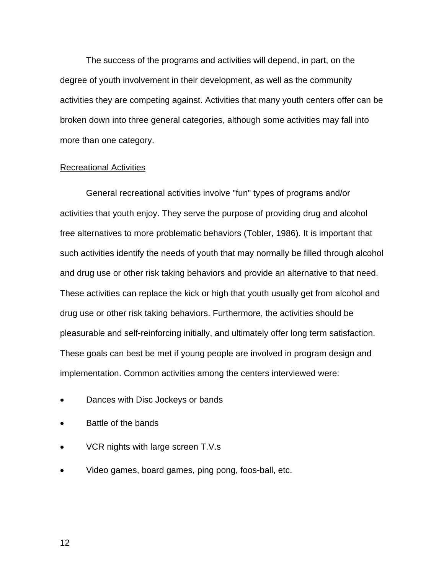The success of the programs and activities will depend, in part, on the degree of youth involvement in their development, as well as the community activities they are competing against. Activities that many youth centers offer can be broken down into three general categories, although some activities may fall into more than one category.

#### Recreational Activities

General recreational activities involve "fun" types of programs and/or activities that youth enjoy. They serve the purpose of providing drug and alcohol free alternatives to more problematic behaviors (Tobler, 1986). It is important that such activities identify the needs of youth that may normally be filled through alcohol and drug use or other risk taking behaviors and provide an alternative to that need. These activities can replace the kick or high that youth usually get from alcohol and drug use or other risk taking behaviors. Furthermore, the activities should be pleasurable and self-reinforcing initially, and ultimately offer long term satisfaction. These goals can best be met if young people are involved in program design and implementation. Common activities among the centers interviewed were:

- Dances with Disc Jockeys or bands
- Battle of the bands
- VCR nights with large screen T.V.s
- Video games, board games, ping pong, foos-ball, etc.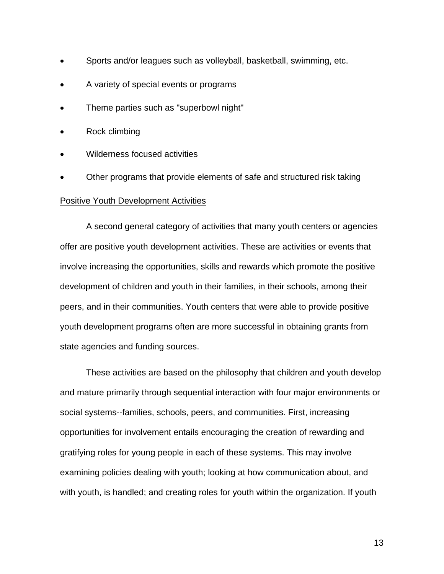- Sports and/or leagues such as volleyball, basketball, swimming, etc.
- A variety of special events or programs
- Theme parties such as "superbowl night"
- Rock climbing
- Wilderness focused activities
- Other programs that provide elements of safe and structured risk taking

#### Positive Youth Development Activities

A second general category of activities that many youth centers or agencies offer are positive youth development activities. These are activities or events that involve increasing the opportunities, skills and rewards which promote the positive development of children and youth in their families, in their schools, among their peers, and in their communities. Youth centers that were able to provide positive youth development programs often are more successful in obtaining grants from state agencies and funding sources.

These activities are based on the philosophy that children and youth develop and mature primarily through sequential interaction with four major environments or social systems--families, schools, peers, and communities. First, increasing opportunities for involvement entails encouraging the creation of rewarding and gratifying roles for young people in each of these systems. This may involve examining policies dealing with youth; looking at how communication about, and with youth, is handled; and creating roles for youth within the organization. If youth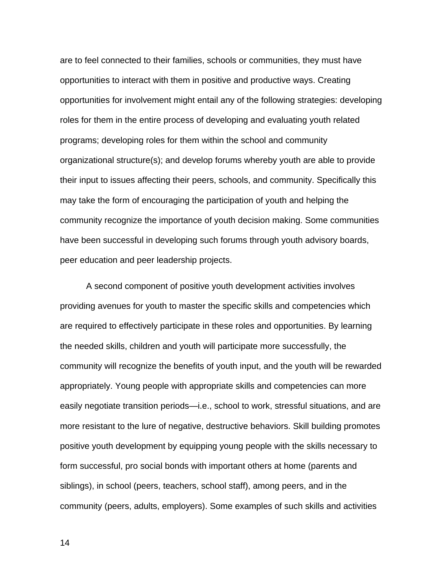are to feel connected to their families, schools or communities, they must have opportunities to interact with them in positive and productive ways. Creating opportunities for involvement might entail any of the following strategies: developing roles for them in the entire process of developing and evaluating youth related programs; developing roles for them within the school and community organizational structure(s); and develop forums whereby youth are able to provide their input to issues affecting their peers, schools, and community. Specifically this may take the form of encouraging the participation of youth and helping the community recognize the importance of youth decision making. Some communities have been successful in developing such forums through youth advisory boards, peer education and peer leadership projects.

A second component of positive youth development activities involves providing avenues for youth to master the specific skills and competencies which are required to effectively participate in these roles and opportunities. By learning the needed skills, children and youth will participate more successfully, the community will recognize the benefits of youth input, and the youth will be rewarded appropriately. Young people with appropriate skills and competencies can more easily negotiate transition periods—i.e., school to work, stressful situations, and are more resistant to the lure of negative, destructive behaviors. Skill building promotes positive youth development by equipping young people with the skills necessary to form successful, pro social bonds with important others at home (parents and siblings), in school (peers, teachers, school staff), among peers, and in the community (peers, adults, employers). Some examples of such skills and activities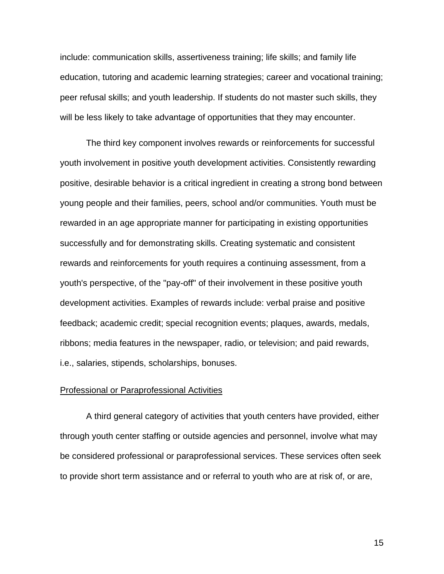include: communication skills, assertiveness training; life skills; and family life education, tutoring and academic learning strategies; career and vocational training; peer refusal skills; and youth leadership. If students do not master such skills, they will be less likely to take advantage of opportunities that they may encounter.

The third key component involves rewards or reinforcements for successful youth involvement in positive youth development activities. Consistently rewarding positive, desirable behavior is a critical ingredient in creating a strong bond between young people and their families, peers, school and/or communities. Youth must be rewarded in an age appropriate manner for participating in existing opportunities successfully and for demonstrating skills. Creating systematic and consistent rewards and reinforcements for youth requires a continuing assessment, from a youth's perspective, of the "pay-off" of their involvement in these positive youth development activities. Examples of rewards include: verbal praise and positive feedback; academic credit; special recognition events; plaques, awards, medals, ribbons; media features in the newspaper, radio, or television; and paid rewards, i.e., salaries, stipends, scholarships, bonuses.

#### Professional or Paraprofessional Activities

A third general category of activities that youth centers have provided, either through youth center staffing or outside agencies and personnel, involve what may be considered professional or paraprofessional services. These services often seek to provide short term assistance and or referral to youth who are at risk of, or are,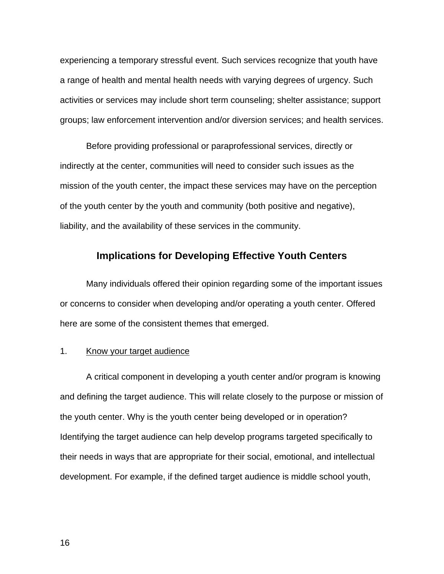experiencing a temporary stressful event. Such services recognize that youth have a range of health and mental health needs with varying degrees of urgency. Such activities or services may include short term counseling; shelter assistance; support groups; law enforcement intervention and/or diversion services; and health services.

Before providing professional or paraprofessional services, directly or indirectly at the center, communities will need to consider such issues as the mission of the youth center, the impact these services may have on the perception of the youth center by the youth and community (both positive and negative), liability, and the availability of these services in the community.

## **Implications for Developing Effective Youth Centers**

Many individuals offered their opinion regarding some of the important issues or concerns to consider when developing and/or operating a youth center. Offered here are some of the consistent themes that emerged.

#### 1. Know your target audience

A critical component in developing a youth center and/or program is knowing and defining the target audience. This will relate closely to the purpose or mission of the youth center. Why is the youth center being developed or in operation? Identifying the target audience can help develop programs targeted specifically to their needs in ways that are appropriate for their social, emotional, and intellectual development. For example, if the defined target audience is middle school youth,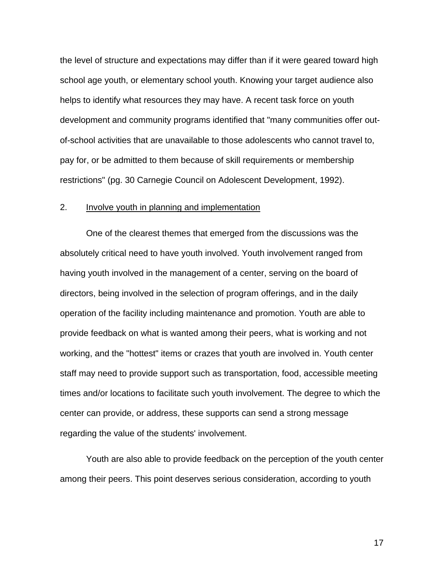the level of structure and expectations may differ than if it were geared toward high school age youth, or elementary school youth. Knowing your target audience also helps to identify what resources they may have. A recent task force on youth development and community programs identified that "many communities offer outof-school activities that are unavailable to those adolescents who cannot travel to, pay for, or be admitted to them because of skill requirements or membership restrictions" (pg. 30 Carnegie Council on Adolescent Development, 1992).

#### 2. Involve youth in planning and implementation

One of the clearest themes that emerged from the discussions was the absolutely critical need to have youth involved. Youth involvement ranged from having youth involved in the management of a center, serving on the board of directors, being involved in the selection of program offerings, and in the daily operation of the facility including maintenance and promotion. Youth are able to provide feedback on what is wanted among their peers, what is working and not working, and the "hottest" items or crazes that youth are involved in. Youth center staff may need to provide support such as transportation, food, accessible meeting times and/or locations to facilitate such youth involvement. The degree to which the center can provide, or address, these supports can send a strong message regarding the value of the students' involvement.

Youth are also able to provide feedback on the perception of the youth center among their peers. This point deserves serious consideration, according to youth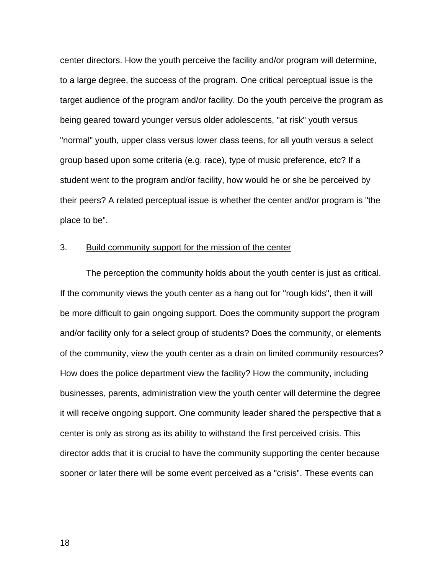center directors. How the youth perceive the facility and/or program will determine, to a large degree, the success of the program. One critical perceptual issue is the target audience of the program and/or facility. Do the youth perceive the program as being geared toward younger versus older adolescents, "at risk" youth versus "normal" youth, upper class versus lower class teens, for all youth versus a select group based upon some criteria (e.g. race), type of music preference, etc? If a student went to the program and/or facility, how would he or she be perceived by their peers? A related perceptual issue is whether the center and/or program is "the place to be".

#### 3. Build community support for the mission of the center

The perception the community holds about the youth center is just as critical. If the community views the youth center as a hang out for "rough kids", then it will be more difficult to gain ongoing support. Does the community support the program and/or facility only for a select group of students? Does the community, or elements of the community, view the youth center as a drain on limited community resources? How does the police department view the facility? How the community, including businesses, parents, administration view the youth center will determine the degree it will receive ongoing support. One community leader shared the perspective that a center is only as strong as its ability to withstand the first perceived crisis. This director adds that it is crucial to have the community supporting the center because sooner or later there will be some event perceived as a "crisis". These events can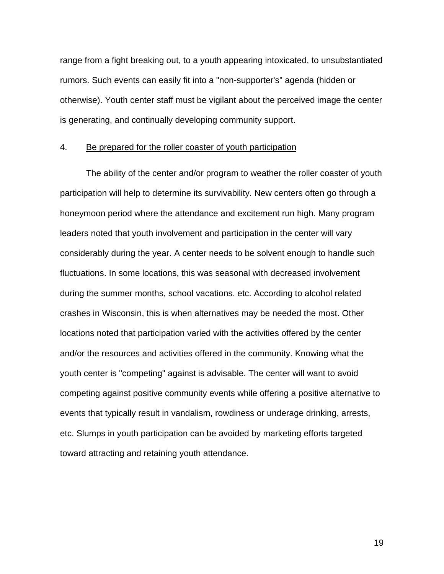range from a fight breaking out, to a youth appearing intoxicated, to unsubstantiated rumors. Such events can easily fit into a "non-supporter's" agenda (hidden or otherwise). Youth center staff must be vigilant about the perceived image the center is generating, and continually developing community support.

#### 4. Be prepared for the roller coaster of youth participation

The ability of the center and/or program to weather the roller coaster of youth participation will help to determine its survivability. New centers often go through a honeymoon period where the attendance and excitement run high. Many program leaders noted that youth involvement and participation in the center will vary considerably during the year. A center needs to be solvent enough to handle such fluctuations. In some locations, this was seasonal with decreased involvement during the summer months, school vacations. etc. According to alcohol related crashes in Wisconsin, this is when alternatives may be needed the most. Other locations noted that participation varied with the activities offered by the center and/or the resources and activities offered in the community. Knowing what the youth center is "competing" against is advisable. The center will want to avoid competing against positive community events while offering a positive alternative to events that typically result in vandalism, rowdiness or underage drinking, arrests, etc. Slumps in youth participation can be avoided by marketing efforts targeted toward attracting and retaining youth attendance.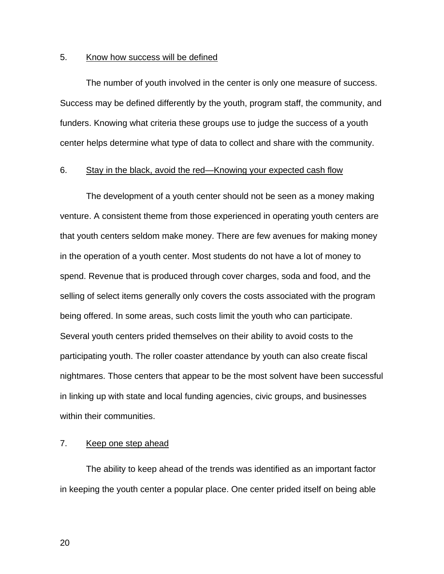#### 5. Know how success will be defined

The number of youth involved in the center is only one measure of success. Success may be defined differently by the youth, program staff, the community, and funders. Knowing what criteria these groups use to judge the success of a youth center helps determine what type of data to collect and share with the community.

#### 6. Stay in the black, avoid the red—Knowing your expected cash flow

The development of a youth center should not be seen as a money making venture. A consistent theme from those experienced in operating youth centers are that youth centers seldom make money. There are few avenues for making money in the operation of a youth center. Most students do not have a lot of money to spend. Revenue that is produced through cover charges, soda and food, and the selling of select items generally only covers the costs associated with the program being offered. In some areas, such costs limit the youth who can participate. Several youth centers prided themselves on their ability to avoid costs to the participating youth. The roller coaster attendance by youth can also create fiscal nightmares. Those centers that appear to be the most solvent have been successful in linking up with state and local funding agencies, civic groups, and businesses within their communities.

#### 7. Keep one step ahead

The ability to keep ahead of the trends was identified as an important factor in keeping the youth center a popular place. One center prided itself on being able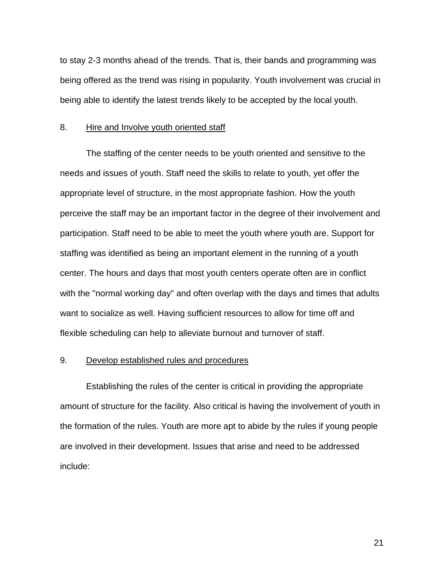to stay 2-3 months ahead of the trends. That is, their bands and programming was being offered as the trend was rising in popularity. Youth involvement was crucial in being able to identify the latest trends likely to be accepted by the local youth.

#### 8. Hire and Involve youth oriented staff

The staffing of the center needs to be youth oriented and sensitive to the needs and issues of youth. Staff need the skills to relate to youth, yet offer the appropriate level of structure, in the most appropriate fashion. How the youth perceive the staff may be an important factor in the degree of their involvement and participation. Staff need to be able to meet the youth where youth are. Support for staffing was identified as being an important element in the running of a youth center. The hours and days that most youth centers operate often are in conflict with the "normal working day" and often overlap with the days and times that adults want to socialize as well. Having sufficient resources to allow for time off and flexible scheduling can help to alleviate burnout and turnover of staff.

#### 9. Develop established rules and procedures

Establishing the rules of the center is critical in providing the appropriate amount of structure for the facility. Also critical is having the involvement of youth in the formation of the rules. Youth are more apt to abide by the rules if young people are involved in their development. Issues that arise and need to be addressed include: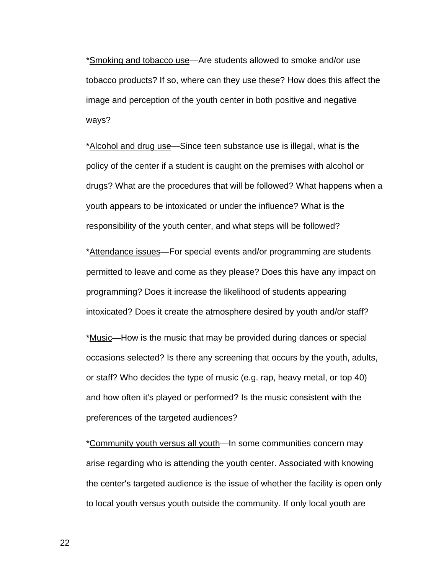\*Smoking and tobacco use—Are students allowed to smoke and/or use tobacco products? If so, where can they use these? How does this affect the image and perception of the youth center in both positive and negative ways?

\*Alcohol and drug use—Since teen substance use is illegal, what is the policy of the center if a student is caught on the premises with alcohol or drugs? What are the procedures that will be followed? What happens when a youth appears to be intoxicated or under the influence? What is the responsibility of the youth center, and what steps will be followed?

\*Attendance issues—For special events and/or programming are students permitted to leave and come as they please? Does this have any impact on programming? Does it increase the likelihood of students appearing intoxicated? Does it create the atmosphere desired by youth and/or staff?

\*Music—How is the music that may be provided during dances or special occasions selected? Is there any screening that occurs by the youth, adults, or staff? Who decides the type of music (e.g. rap, heavy metal, or top 40) and how often it's played or performed? Is the music consistent with the preferences of the targeted audiences?

\*Community youth versus all youth—In some communities concern may arise regarding who is attending the youth center. Associated with knowing the center's targeted audience is the issue of whether the facility is open only to local youth versus youth outside the community. If only local youth are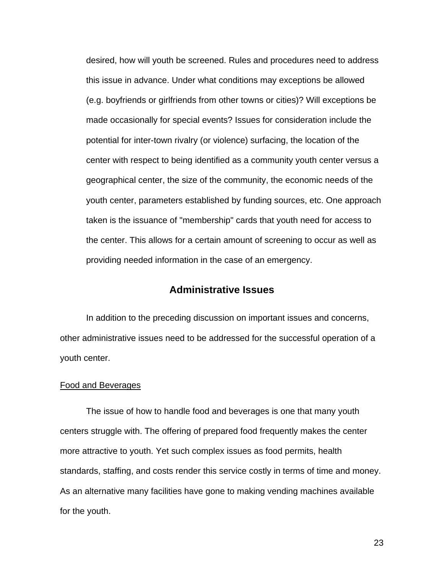desired, how will youth be screened. Rules and procedures need to address this issue in advance. Under what conditions may exceptions be allowed (e.g. boyfriends or girlfriends from other towns or cities)? Will exceptions be made occasionally for special events? Issues for consideration include the potential for inter-town rivalry (or violence) surfacing, the location of the center with respect to being identified as a community youth center versus a geographical center, the size of the community, the economic needs of the youth center, parameters established by funding sources, etc. One approach taken is the issuance of "membership" cards that youth need for access to the center. This allows for a certain amount of screening to occur as well as providing needed information in the case of an emergency.

### **Administrative Issues**

In addition to the preceding discussion on important issues and concerns, other administrative issues need to be addressed for the successful operation of a youth center.

#### Food and Beverages

The issue of how to handle food and beverages is one that many youth centers struggle with. The offering of prepared food frequently makes the center more attractive to youth. Yet such complex issues as food permits, health standards, staffing, and costs render this service costly in terms of time and money. As an alternative many facilities have gone to making vending machines available for the youth.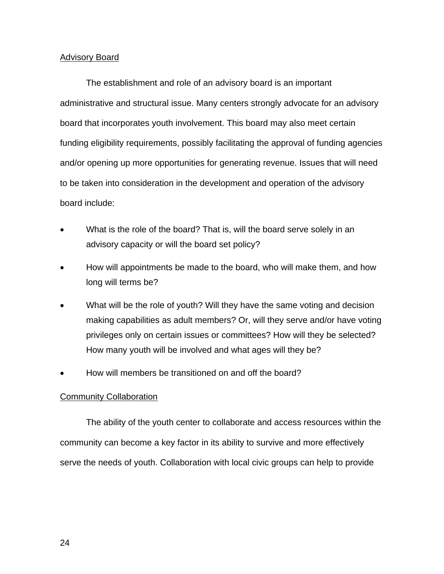#### Advisory Board

The establishment and role of an advisory board is an important administrative and structural issue. Many centers strongly advocate for an advisory board that incorporates youth involvement. This board may also meet certain funding eligibility requirements, possibly facilitating the approval of funding agencies and/or opening up more opportunities for generating revenue. Issues that will need to be taken into consideration in the development and operation of the advisory board include:

- What is the role of the board? That is, will the board serve solely in an advisory capacity or will the board set policy?
- How will appointments be made to the board, who will make them, and how long will terms be?
- What will be the role of youth? Will they have the same voting and decision making capabilities as adult members? Or, will they serve and/or have voting privileges only on certain issues or committees? How will they be selected? How many youth will be involved and what ages will they be?
- How will members be transitioned on and off the board?

#### **Community Collaboration**

The ability of the youth center to collaborate and access resources within the community can become a key factor in its ability to survive and more effectively serve the needs of youth. Collaboration with local civic groups can help to provide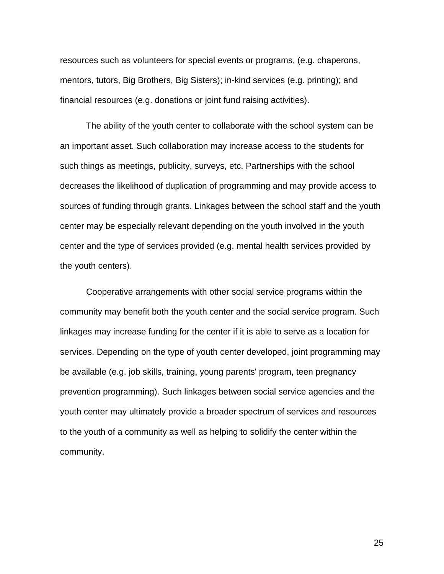resources such as volunteers for special events or programs, (e.g. chaperons, mentors, tutors, Big Brothers, Big Sisters); in-kind services (e.g. printing); and financial resources (e.g. donations or joint fund raising activities).

The ability of the youth center to collaborate with the school system can be an important asset. Such collaboration may increase access to the students for such things as meetings, publicity, surveys, etc. Partnerships with the school decreases the likelihood of duplication of programming and may provide access to sources of funding through grants. Linkages between the school staff and the youth center may be especially relevant depending on the youth involved in the youth center and the type of services provided (e.g. mental health services provided by the youth centers).

Cooperative arrangements with other social service programs within the community may benefit both the youth center and the social service program. Such linkages may increase funding for the center if it is able to serve as a location for services. Depending on the type of youth center developed, joint programming may be available (e.g. job skills, training, young parents' program, teen pregnancy prevention programming). Such linkages between social service agencies and the youth center may ultimately provide a broader spectrum of services and resources to the youth of a community as well as helping to solidify the center within the community.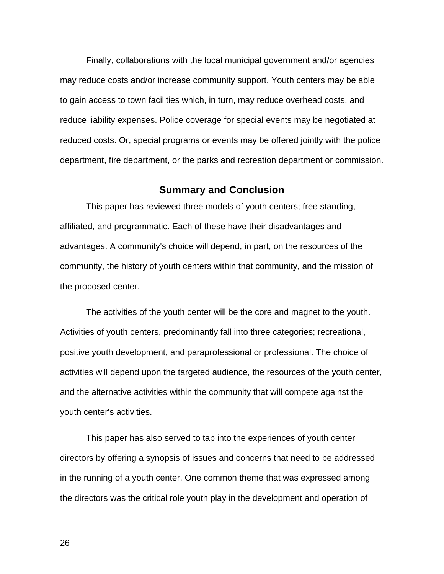Finally, collaborations with the local municipal government and/or agencies may reduce costs and/or increase community support. Youth centers may be able to gain access to town facilities which, in turn, may reduce overhead costs, and reduce liability expenses. Police coverage for special events may be negotiated at reduced costs. Or, special programs or events may be offered jointly with the police department, fire department, or the parks and recreation department or commission.

#### **Summary and Conclusion**

This paper has reviewed three models of youth centers; free standing, affiliated, and programmatic. Each of these have their disadvantages and advantages. A community's choice will depend, in part, on the resources of the community, the history of youth centers within that community, and the mission of the proposed center.

The activities of the youth center will be the core and magnet to the youth. Activities of youth centers, predominantly fall into three categories; recreational, positive youth development, and paraprofessional or professional. The choice of activities will depend upon the targeted audience, the resources of the youth center, and the alternative activities within the community that will compete against the youth center's activities.

This paper has also served to tap into the experiences of youth center directors by offering a synopsis of issues and concerns that need to be addressed in the running of a youth center. One common theme that was expressed among the directors was the critical role youth play in the development and operation of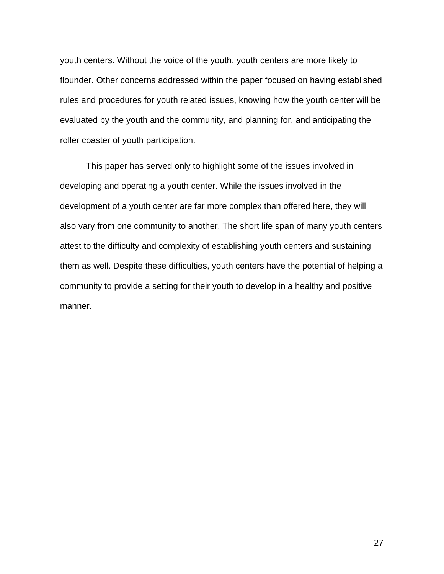youth centers. Without the voice of the youth, youth centers are more likely to flounder. Other concerns addressed within the paper focused on having established rules and procedures for youth related issues, knowing how the youth center will be evaluated by the youth and the community, and planning for, and anticipating the roller coaster of youth participation.

This paper has served only to highlight some of the issues involved in developing and operating a youth center. While the issues involved in the development of a youth center are far more complex than offered here, they will also vary from one community to another. The short life span of many youth centers attest to the difficulty and complexity of establishing youth centers and sustaining them as well. Despite these difficulties, youth centers have the potential of helping a community to provide a setting for their youth to develop in a healthy and positive manner.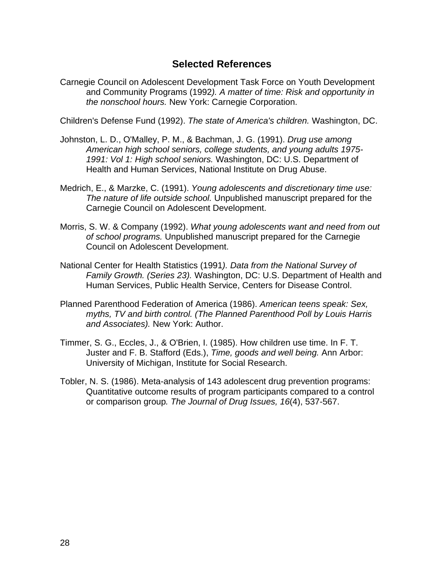## **Selected References**

Carnegie Council on Adolescent Development Task Force on Youth Development and Community Programs (1992*). A matter of time: Risk and opportunity in the nonschool hours.* New York: Carnegie Corporation.

Children's Defense Fund (1992). *The state of America's children.* Washington, DC.

- Johnston, L. D., O'Malley, P. M., & Bachman, J. G. (1991). *Drug use among American high school seniors, college students, and young adults 1975- 1991: Vol 1: High school seniors.* Washington, DC: U.S. Department of Health and Human Services, National Institute on Drug Abuse.
- Medrich, E., & Marzke, C. (1991). *Young adolescents and discretionary time use: The nature of life outside school.* Unpublished manuscript prepared for the Carnegie Council on Adolescent Development.
- Morris, S. W. & Company (1992). *What young adolescents want and need from out of school programs.* Unpublished manuscript prepared for the Carnegie Council on Adolescent Development.
- National Center for Health Statistics (1991*). Data from the National Survey of Family Growth. (Series 23).* Washington, DC: U.S. Department of Health and Human Services, Public Health Service, Centers for Disease Control.
- Planned Parenthood Federation of America (1986). *American teens speak: Sex, myths, TV and birth control. (The Planned Parenthood Poll by Louis Harris and Associates).* New York: Author.
- Timmer, S. G., Eccles, J., & O'Brien, I. (1985). How children use time. In F. T. Juster and F. B. Stafford (Eds.), *Time, goods and well being.* Ann Arbor: University of Michigan, Institute for Social Research.
- Tobler, N. S. (1986). Meta-analysis of 143 adolescent drug prevention programs: Quantitative outcome results of program participants compared to a control or comparison group*. The Journal of Drug Issues, 16*(4), 537-567.